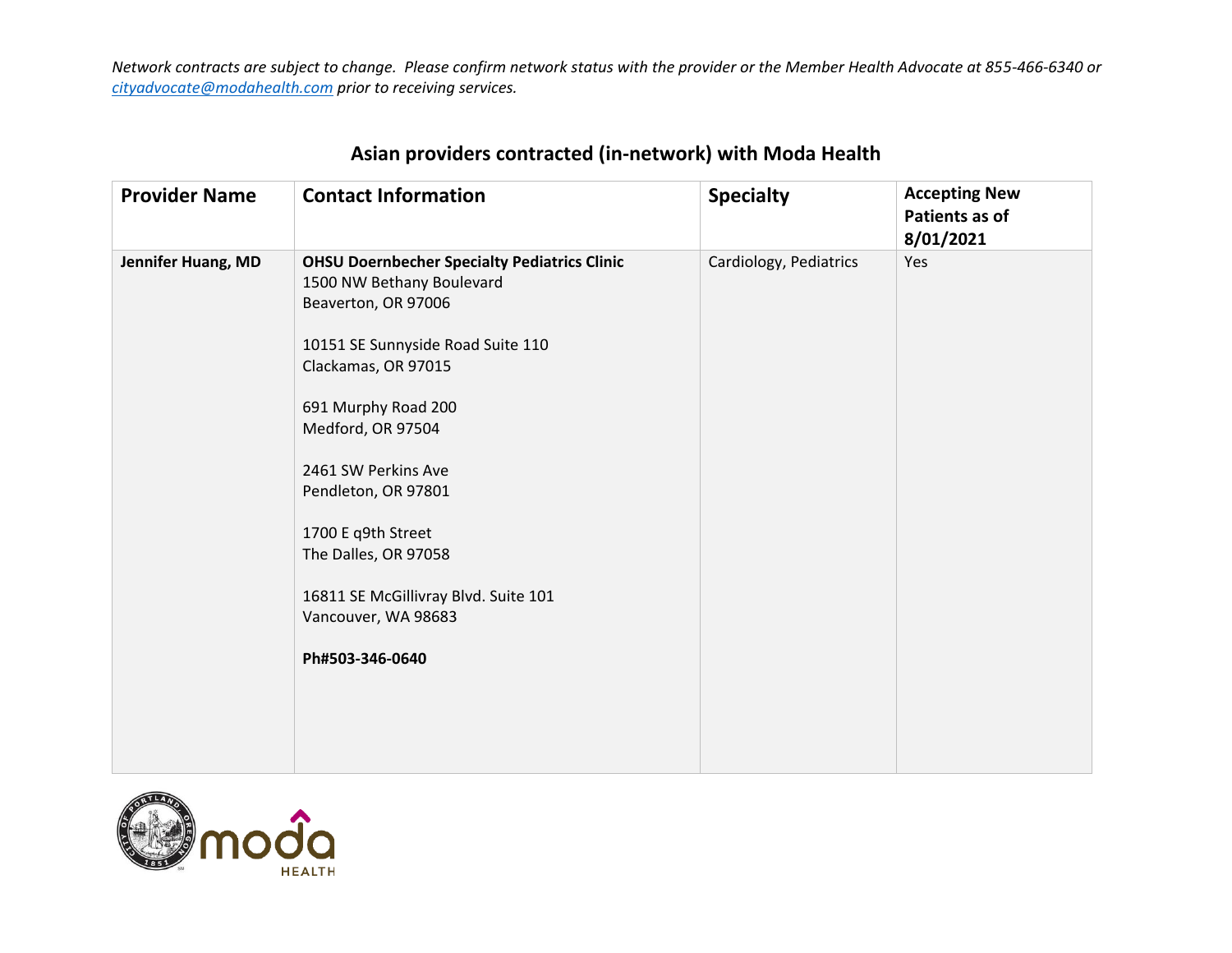| <b>Provider Name</b> | <b>Contact Information</b>                                                                                                                                                                                                                                                                                                                                                                    | <b>Specialty</b>       | <b>Accepting New</b><br>Patients as of<br>8/01/2021 |
|----------------------|-----------------------------------------------------------------------------------------------------------------------------------------------------------------------------------------------------------------------------------------------------------------------------------------------------------------------------------------------------------------------------------------------|------------------------|-----------------------------------------------------|
| Jennifer Huang, MD   | <b>OHSU Doernbecher Specialty Pediatrics Clinic</b><br>1500 NW Bethany Boulevard<br>Beaverton, OR 97006<br>10151 SE Sunnyside Road Suite 110<br>Clackamas, OR 97015<br>691 Murphy Road 200<br>Medford, OR 97504<br>2461 SW Perkins Ave<br>Pendleton, OR 97801<br>1700 E q9th Street<br>The Dalles, OR 97058<br>16811 SE McGillivray Blvd. Suite 101<br>Vancouver, WA 98683<br>Ph#503-346-0640 | Cardiology, Pediatrics | Yes                                                 |

## **Asian providers contracted (in-network) with Moda Health**

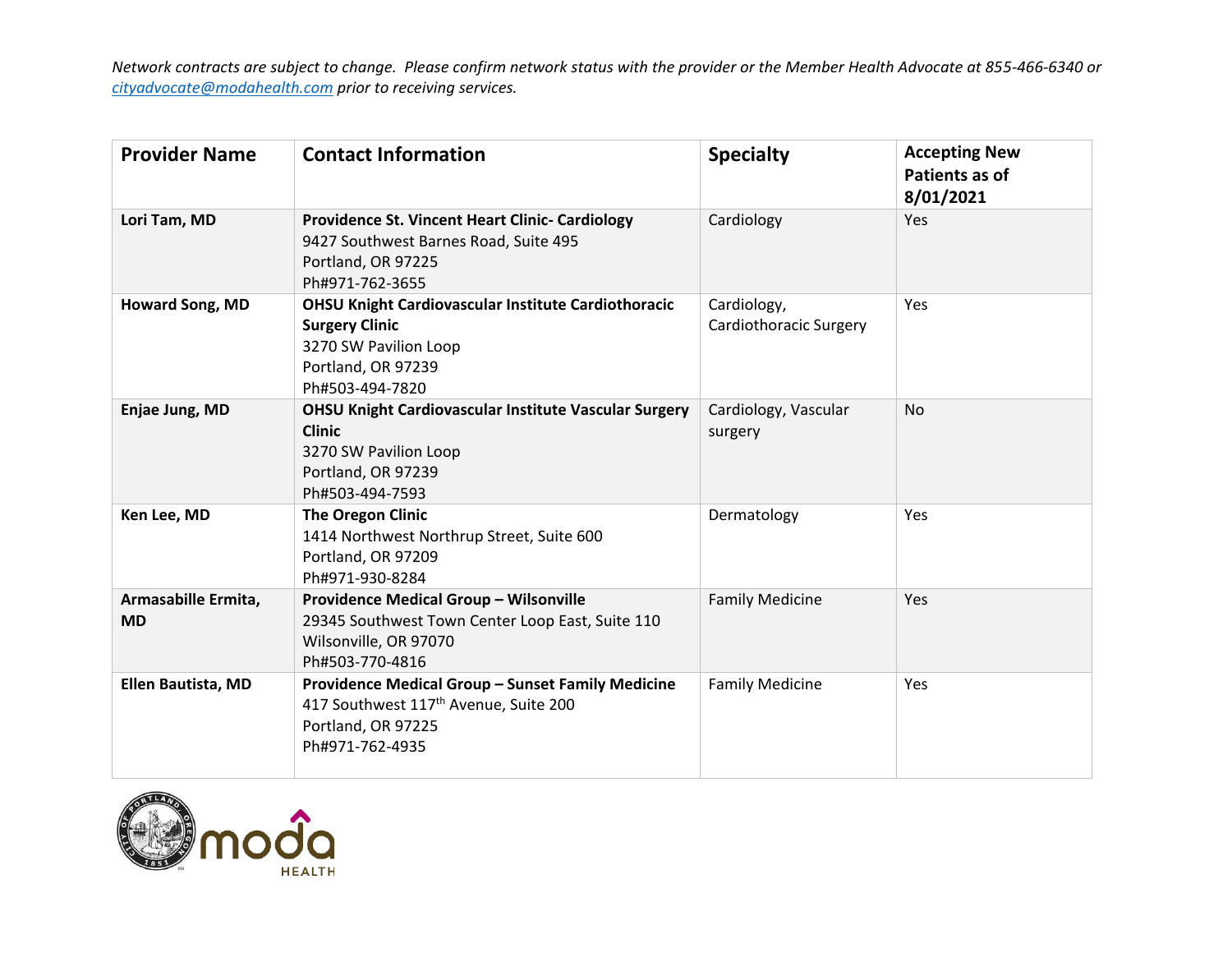| <b>Provider Name</b>             | <b>Contact Information</b>                                                                                                                            | <b>Specialty</b>                      | <b>Accepting New</b><br>Patients as of<br>8/01/2021 |
|----------------------------------|-------------------------------------------------------------------------------------------------------------------------------------------------------|---------------------------------------|-----------------------------------------------------|
| Lori Tam, MD                     | <b>Providence St. Vincent Heart Clinic- Cardiology</b><br>9427 Southwest Barnes Road, Suite 495<br>Portland, OR 97225<br>Ph#971-762-3655              | Cardiology                            | <b>Yes</b>                                          |
| Howard Song, MD                  | <b>OHSU Knight Cardiovascular Institute Cardiothoracic</b><br><b>Surgery Clinic</b><br>3270 SW Pavilion Loop<br>Portland, OR 97239<br>Ph#503-494-7820 | Cardiology,<br>Cardiothoracic Surgery | Yes                                                 |
| Enjae Jung, MD                   | <b>OHSU Knight Cardiovascular Institute Vascular Surgery</b><br><b>Clinic</b><br>3270 SW Pavilion Loop<br>Portland, OR 97239<br>Ph#503-494-7593       | Cardiology, Vascular<br>surgery       | N <sub>o</sub>                                      |
| Ken Lee, MD                      | <b>The Oregon Clinic</b><br>1414 Northwest Northrup Street, Suite 600<br>Portland, OR 97209<br>Ph#971-930-8284                                        | Dermatology                           | Yes                                                 |
| Armasabille Ermita,<br><b>MD</b> | Providence Medical Group - Wilsonville<br>29345 Southwest Town Center Loop East, Suite 110<br>Wilsonville, OR 97070<br>Ph#503-770-4816                | <b>Family Medicine</b>                | Yes                                                 |
| <b>Ellen Bautista, MD</b>        | Providence Medical Group - Sunset Family Medicine<br>417 Southwest 117 <sup>th</sup> Avenue, Suite 200<br>Portland, OR 97225<br>Ph#971-762-4935       | <b>Family Medicine</b>                | Yes                                                 |

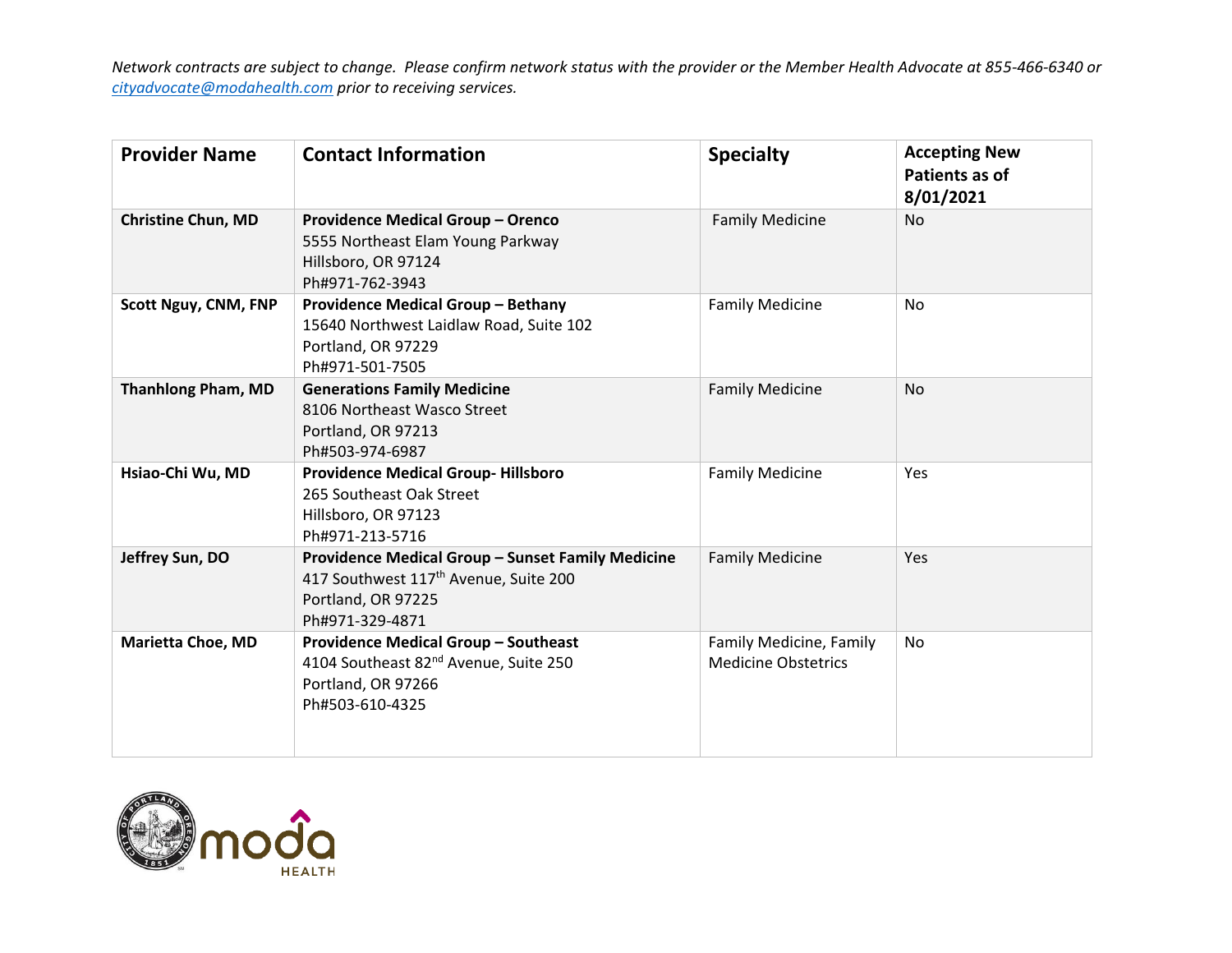| <b>Provider Name</b>        | <b>Contact Information</b>                                                                                                                      | <b>Specialty</b>                                      | <b>Accepting New</b><br>Patients as of<br>8/01/2021 |
|-----------------------------|-------------------------------------------------------------------------------------------------------------------------------------------------|-------------------------------------------------------|-----------------------------------------------------|
| <b>Christine Chun, MD</b>   | <b>Providence Medical Group - Orenco</b><br>5555 Northeast Elam Young Parkway<br>Hillsboro, OR 97124<br>Ph#971-762-3943                         | <b>Family Medicine</b>                                | <b>No</b>                                           |
| <b>Scott Nguy, CNM, FNP</b> | <b>Providence Medical Group - Bethany</b><br>15640 Northwest Laidlaw Road, Suite 102<br>Portland, OR 97229<br>Ph#971-501-7505                   | <b>Family Medicine</b>                                | N <sub>o</sub>                                      |
| <b>Thanhlong Pham, MD</b>   | <b>Generations Family Medicine</b><br>8106 Northeast Wasco Street<br>Portland, OR 97213<br>Ph#503-974-6987                                      | <b>Family Medicine</b>                                | <b>No</b>                                           |
| Hsiao-Chi Wu, MD            | <b>Providence Medical Group-Hillsboro</b><br>265 Southeast Oak Street<br>Hillsboro, OR 97123<br>Ph#971-213-5716                                 | <b>Family Medicine</b>                                | <b>Yes</b>                                          |
| Jeffrey Sun, DO             | Providence Medical Group - Sunset Family Medicine<br>417 Southwest 117 <sup>th</sup> Avenue, Suite 200<br>Portland, OR 97225<br>Ph#971-329-4871 | <b>Family Medicine</b>                                | Yes                                                 |
| <b>Marietta Choe, MD</b>    | <b>Providence Medical Group - Southeast</b><br>4104 Southeast 82 <sup>nd</sup> Avenue, Suite 250<br>Portland, OR 97266<br>Ph#503-610-4325       | Family Medicine, Family<br><b>Medicine Obstetrics</b> | No                                                  |

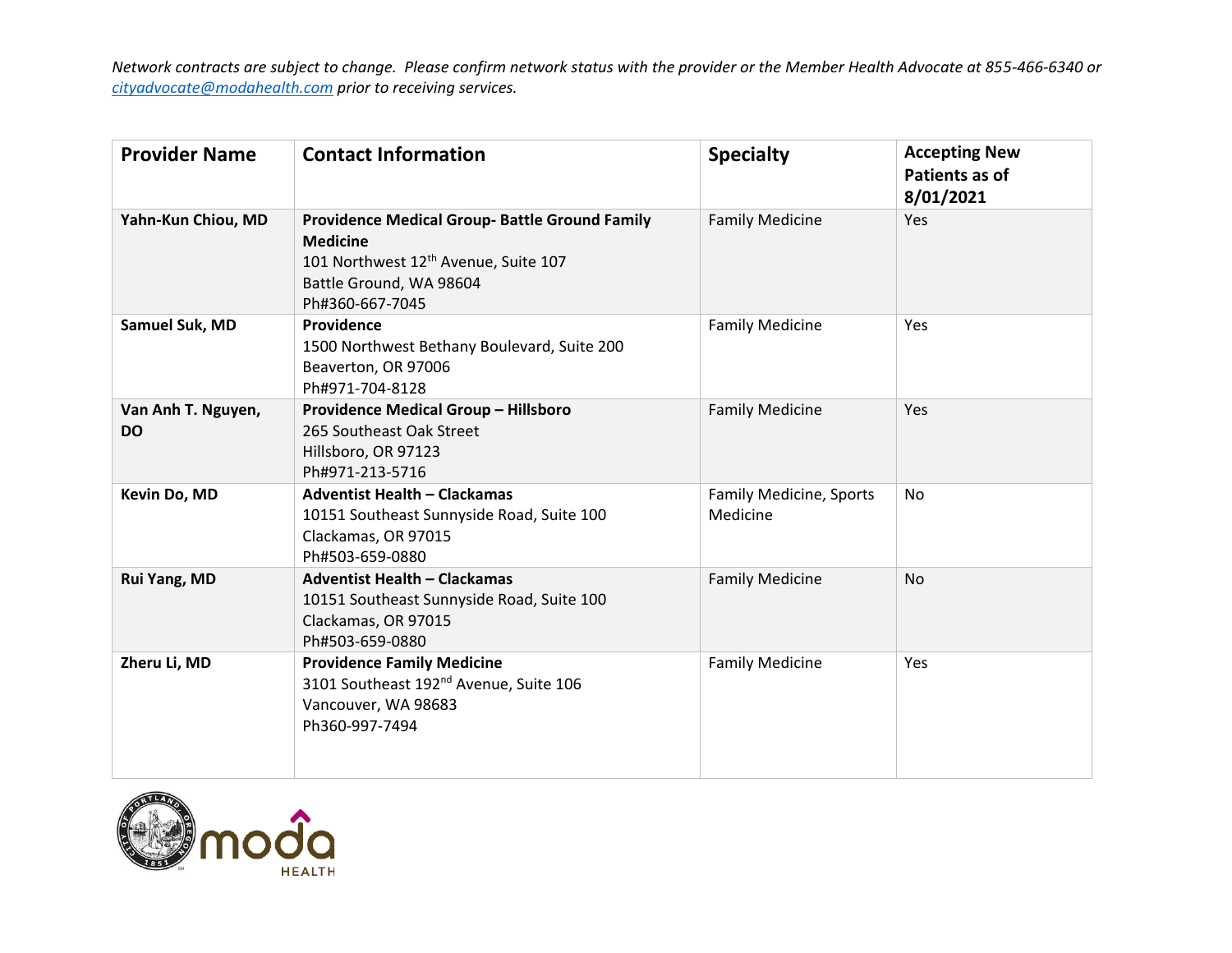| <b>Provider Name</b>            | <b>Contact Information</b>                                                                                                                                                 | <b>Specialty</b>                    | <b>Accepting New</b><br>Patients as of<br>8/01/2021 |
|---------------------------------|----------------------------------------------------------------------------------------------------------------------------------------------------------------------------|-------------------------------------|-----------------------------------------------------|
| Yahn-Kun Chiou, MD              | <b>Providence Medical Group- Battle Ground Family</b><br><b>Medicine</b><br>101 Northwest 12 <sup>th</sup> Avenue, Suite 107<br>Battle Ground, WA 98604<br>Ph#360-667-7045 | <b>Family Medicine</b>              | Yes                                                 |
| Samuel Suk, MD                  | Providence<br>1500 Northwest Bethany Boulevard, Suite 200<br>Beaverton, OR 97006<br>Ph#971-704-8128                                                                        | <b>Family Medicine</b>              | Yes                                                 |
| Van Anh T. Nguyen,<br><b>DO</b> | <b>Providence Medical Group - Hillsboro</b><br>265 Southeast Oak Street<br>Hillsboro, OR 97123<br>Ph#971-213-5716                                                          | <b>Family Medicine</b>              | Yes                                                 |
| Kevin Do, MD                    | <b>Adventist Health - Clackamas</b><br>10151 Southeast Sunnyside Road, Suite 100<br>Clackamas, OR 97015<br>Ph#503-659-0880                                                 | Family Medicine, Sports<br>Medicine | <b>No</b>                                           |
| Rui Yang, MD                    | <b>Adventist Health - Clackamas</b><br>10151 Southeast Sunnyside Road, Suite 100<br>Clackamas, OR 97015<br>Ph#503-659-0880                                                 | <b>Family Medicine</b>              | <b>No</b>                                           |
| Zheru Li, MD                    | <b>Providence Family Medicine</b><br>3101 Southeast 192 <sup>nd</sup> Avenue, Suite 106<br>Vancouver, WA 98683<br>Ph360-997-7494                                           | <b>Family Medicine</b>              | Yes                                                 |

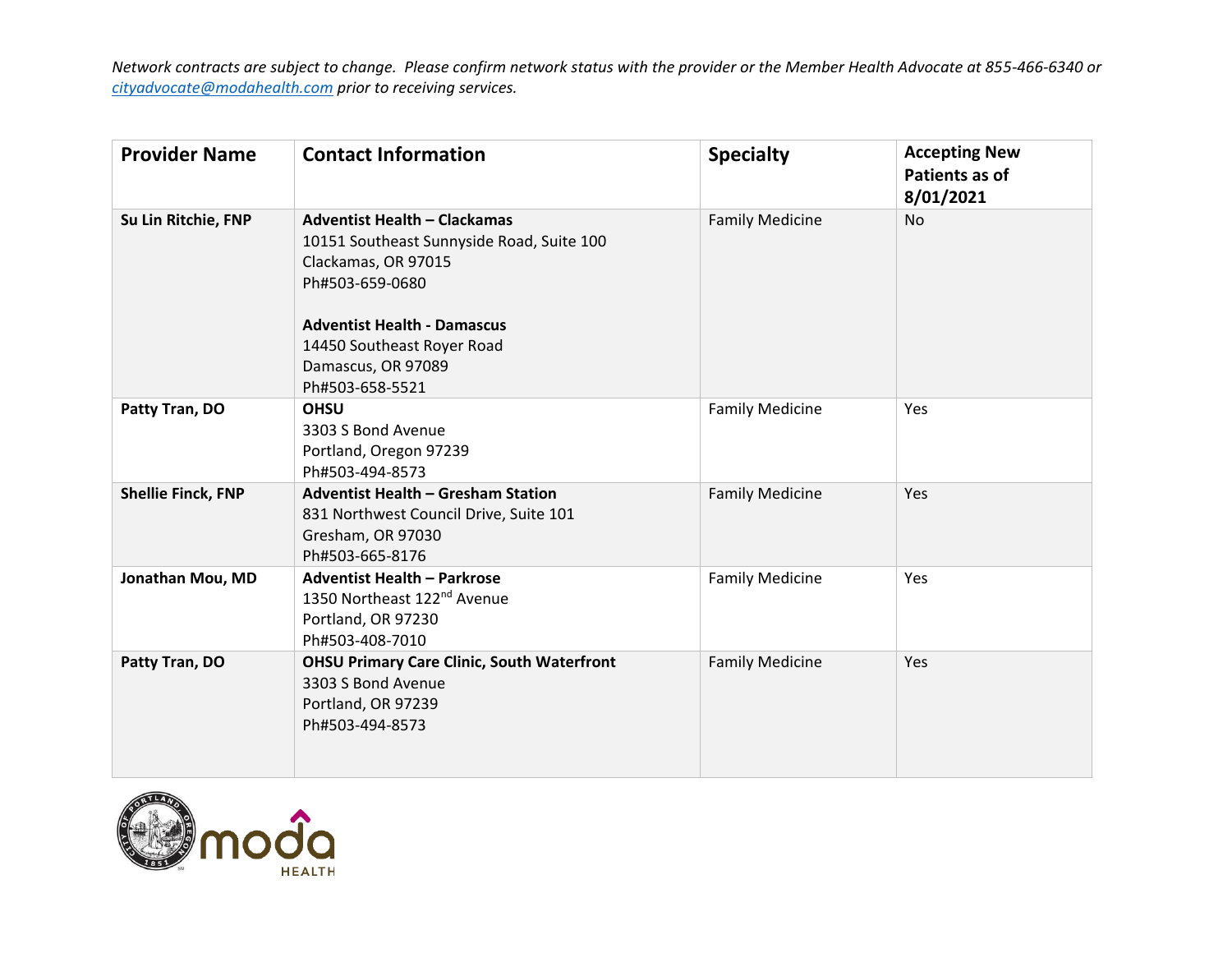| <b>Provider Name</b>      | <b>Contact Information</b>                                                                                                                                                                                                              | <b>Specialty</b>       | <b>Accepting New</b><br>Patients as of<br>8/01/2021 |
|---------------------------|-----------------------------------------------------------------------------------------------------------------------------------------------------------------------------------------------------------------------------------------|------------------------|-----------------------------------------------------|
| Su Lin Ritchie, FNP       | <b>Adventist Health - Clackamas</b><br>10151 Southeast Sunnyside Road, Suite 100<br>Clackamas, OR 97015<br>Ph#503-659-0680<br><b>Adventist Health - Damascus</b><br>14450 Southeast Royer Road<br>Damascus, OR 97089<br>Ph#503-658-5521 | <b>Family Medicine</b> | <b>No</b>                                           |
| Patty Tran, DO            | <b>OHSU</b><br>3303 S Bond Avenue<br>Portland, Oregon 97239<br>Ph#503-494-8573                                                                                                                                                          | <b>Family Medicine</b> | Yes                                                 |
| <b>Shellie Finck, FNP</b> | <b>Adventist Health - Gresham Station</b><br>831 Northwest Council Drive, Suite 101<br>Gresham, OR 97030<br>Ph#503-665-8176                                                                                                             | <b>Family Medicine</b> | Yes                                                 |
| Jonathan Mou, MD          | <b>Adventist Health - Parkrose</b><br>1350 Northeast 122 <sup>nd</sup> Avenue<br>Portland, OR 97230<br>Ph#503-408-7010                                                                                                                  | <b>Family Medicine</b> | Yes                                                 |
| Patty Tran, DO            | <b>OHSU Primary Care Clinic, South Waterfront</b><br>3303 S Bond Avenue<br>Portland, OR 97239<br>Ph#503-494-8573                                                                                                                        | <b>Family Medicine</b> | Yes                                                 |

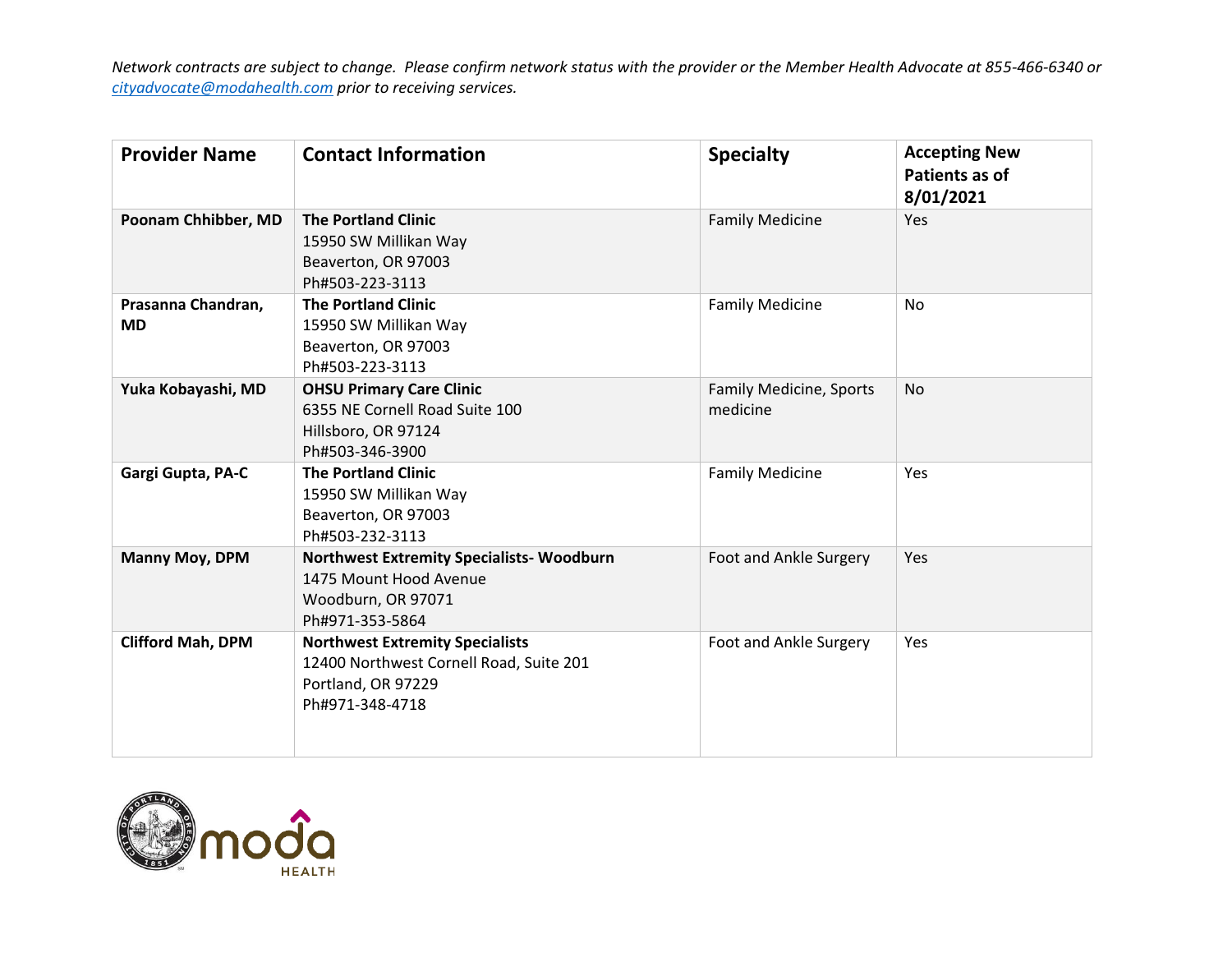| <b>Provider Name</b>            | <b>Contact Information</b>                                                                                                 | <b>Specialty</b>                    | <b>Accepting New</b><br>Patients as of<br>8/01/2021 |
|---------------------------------|----------------------------------------------------------------------------------------------------------------------------|-------------------------------------|-----------------------------------------------------|
| Poonam Chhibber, MD             | <b>The Portland Clinic</b><br>15950 SW Millikan Way<br>Beaverton, OR 97003<br>Ph#503-223-3113                              | <b>Family Medicine</b>              | <b>Yes</b>                                          |
| Prasanna Chandran,<br><b>MD</b> | <b>The Portland Clinic</b><br>15950 SW Millikan Way<br>Beaverton, OR 97003<br>Ph#503-223-3113                              | <b>Family Medicine</b>              | No                                                  |
| Yuka Kobayashi, MD              | <b>OHSU Primary Care Clinic</b><br>6355 NE Cornell Road Suite 100<br>Hillsboro, OR 97124<br>Ph#503-346-3900                | Family Medicine, Sports<br>medicine | <b>No</b>                                           |
| Gargi Gupta, PA-C               | <b>The Portland Clinic</b><br>15950 SW Millikan Way<br>Beaverton, OR 97003<br>Ph#503-232-3113                              | <b>Family Medicine</b>              | Yes                                                 |
| Manny Moy, DPM                  | <b>Northwest Extremity Specialists- Woodburn</b><br>1475 Mount Hood Avenue<br>Woodburn, OR 97071<br>Ph#971-353-5864        | Foot and Ankle Surgery              | Yes                                                 |
| <b>Clifford Mah, DPM</b>        | <b>Northwest Extremity Specialists</b><br>12400 Northwest Cornell Road, Suite 201<br>Portland, OR 97229<br>Ph#971-348-4718 | Foot and Ankle Surgery              | Yes                                                 |

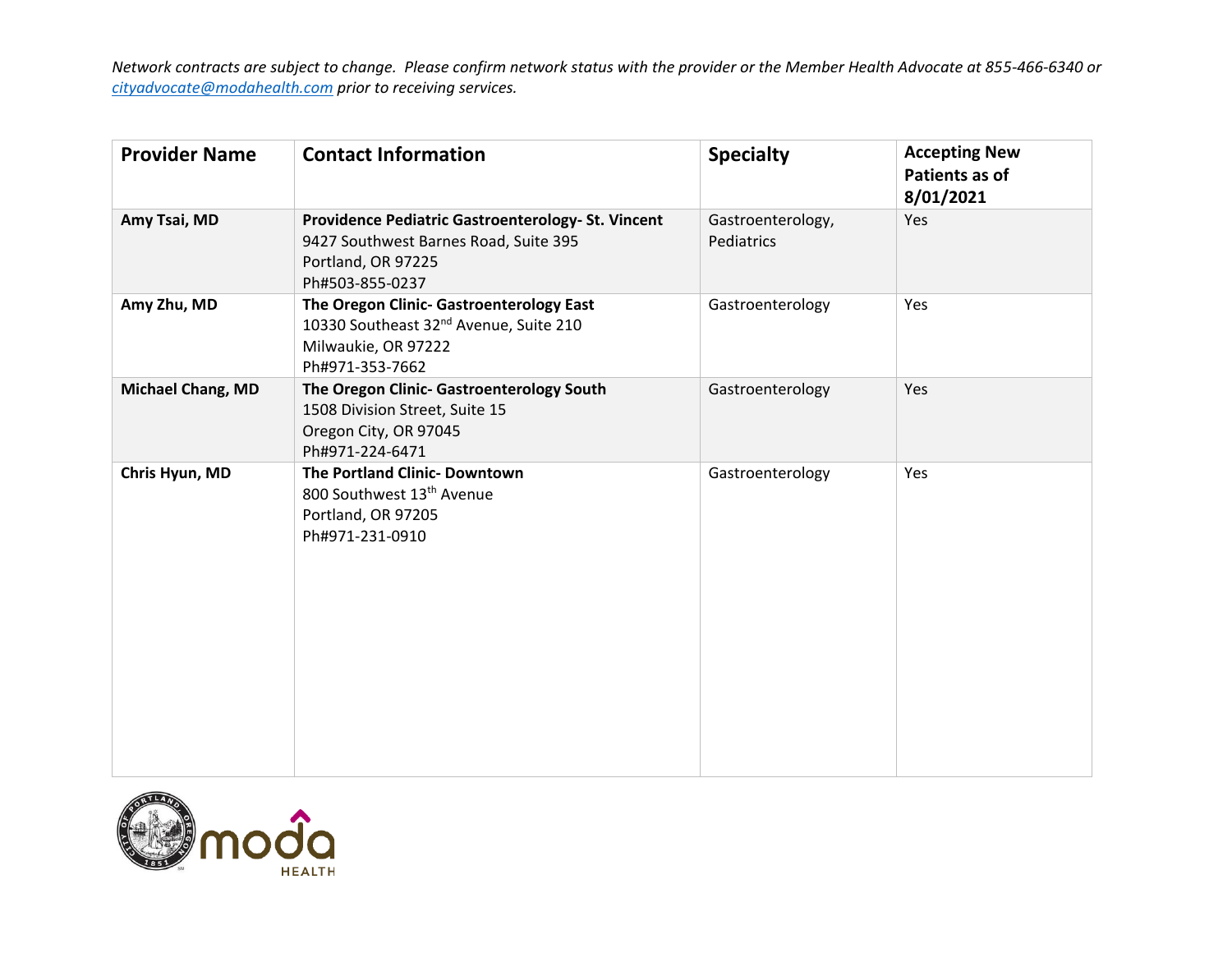| <b>Provider Name</b>     | <b>Contact Information</b>                                                                                                               | <b>Specialty</b>                | <b>Accepting New</b><br>Patients as of<br>8/01/2021 |
|--------------------------|------------------------------------------------------------------------------------------------------------------------------------------|---------------------------------|-----------------------------------------------------|
| Amy Tsai, MD             | Providence Pediatric Gastroenterology- St. Vincent<br>9427 Southwest Barnes Road, Suite 395<br>Portland, OR 97225<br>Ph#503-855-0237     | Gastroenterology,<br>Pediatrics | Yes                                                 |
| Amy Zhu, MD              | The Oregon Clinic- Gastroenterology East<br>10330 Southeast 32 <sup>nd</sup> Avenue, Suite 210<br>Milwaukie, OR 97222<br>Ph#971-353-7662 | Gastroenterology                | Yes                                                 |
| <b>Michael Chang, MD</b> | The Oregon Clinic- Gastroenterology South<br>1508 Division Street, Suite 15<br>Oregon City, OR 97045<br>Ph#971-224-6471                  | Gastroenterology                | Yes                                                 |
| Chris Hyun, MD           | The Portland Clinic- Downtown<br>800 Southwest 13 <sup>th</sup> Avenue<br>Portland, OR 97205<br>Ph#971-231-0910                          | Gastroenterology                | Yes                                                 |

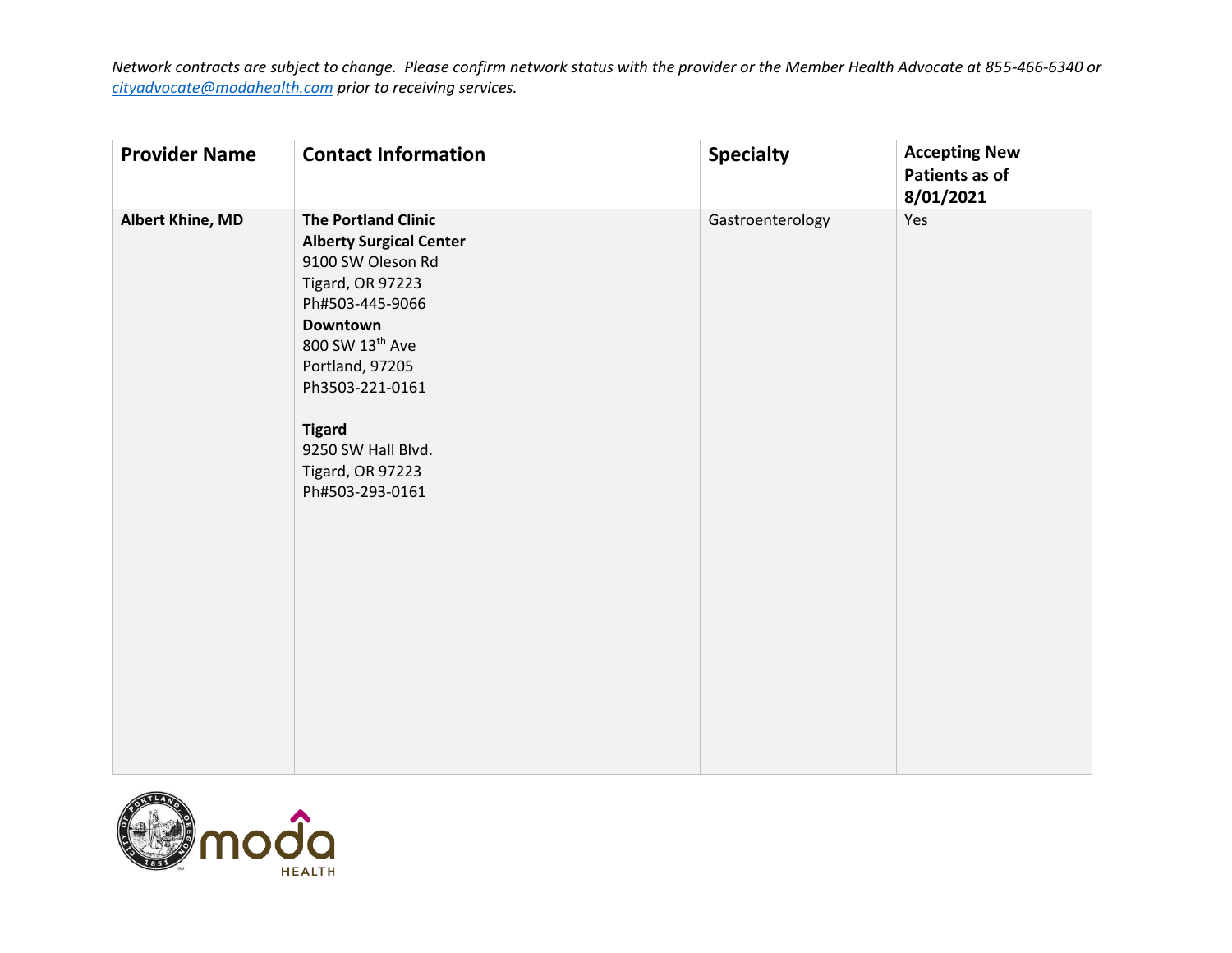| <b>Provider Name</b> | <b>Contact Information</b>                                                                                                                                                                                                                                                  | <b>Specialty</b> | <b>Accepting New</b><br>Patients as of<br>8/01/2021 |
|----------------------|-----------------------------------------------------------------------------------------------------------------------------------------------------------------------------------------------------------------------------------------------------------------------------|------------------|-----------------------------------------------------|
| Albert Khine, MD     | <b>The Portland Clinic</b><br><b>Alberty Surgical Center</b><br>9100 SW Oleson Rd<br>Tigard, OR 97223<br>Ph#503-445-9066<br>Downtown<br>800 SW 13th Ave<br>Portland, 97205<br>Ph3503-221-0161<br><b>Tigard</b><br>9250 SW Hall Blvd.<br>Tigard, OR 97223<br>Ph#503-293-0161 | Gastroenterology | Yes                                                 |

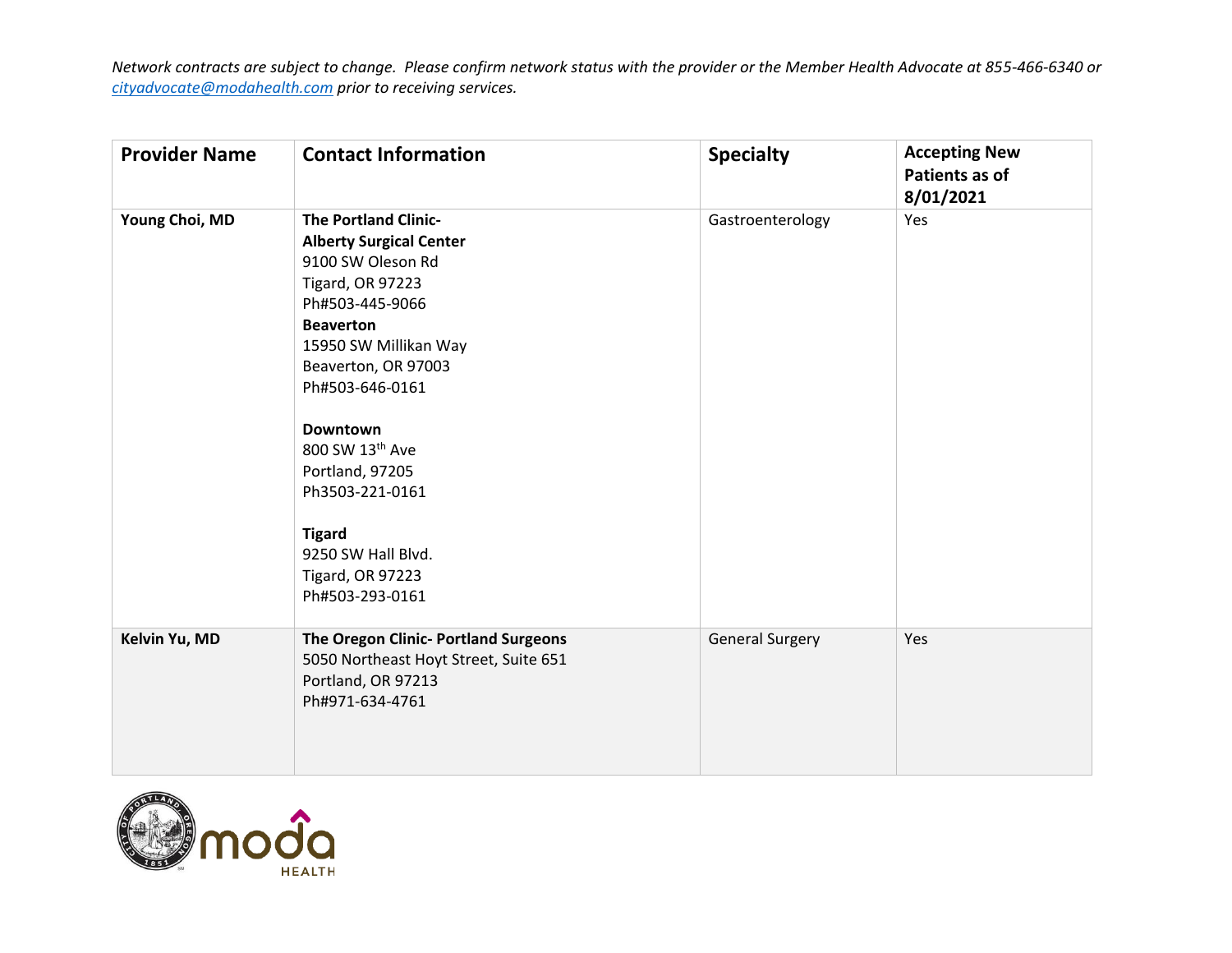| <b>Provider Name</b> | <b>Contact Information</b>                                                                                                                                                                                                                                                                                                                                                        | <b>Specialty</b>       | <b>Accepting New</b><br>Patients as of<br>8/01/2021 |
|----------------------|-----------------------------------------------------------------------------------------------------------------------------------------------------------------------------------------------------------------------------------------------------------------------------------------------------------------------------------------------------------------------------------|------------------------|-----------------------------------------------------|
| Young Choi, MD       | <b>The Portland Clinic-</b><br><b>Alberty Surgical Center</b><br>9100 SW Oleson Rd<br>Tigard, OR 97223<br>Ph#503-445-9066<br><b>Beaverton</b><br>15950 SW Millikan Way<br>Beaverton, OR 97003<br>Ph#503-646-0161<br><b>Downtown</b><br>800 SW 13th Ave<br>Portland, 97205<br>Ph3503-221-0161<br><b>Tigard</b><br>9250 SW Hall Blvd.<br><b>Tigard, OR 97223</b><br>Ph#503-293-0161 | Gastroenterology       | Yes                                                 |
| Kelvin Yu, MD        | The Oregon Clinic- Portland Surgeons<br>5050 Northeast Hoyt Street, Suite 651<br>Portland, OR 97213<br>Ph#971-634-4761                                                                                                                                                                                                                                                            | <b>General Surgery</b> | Yes                                                 |

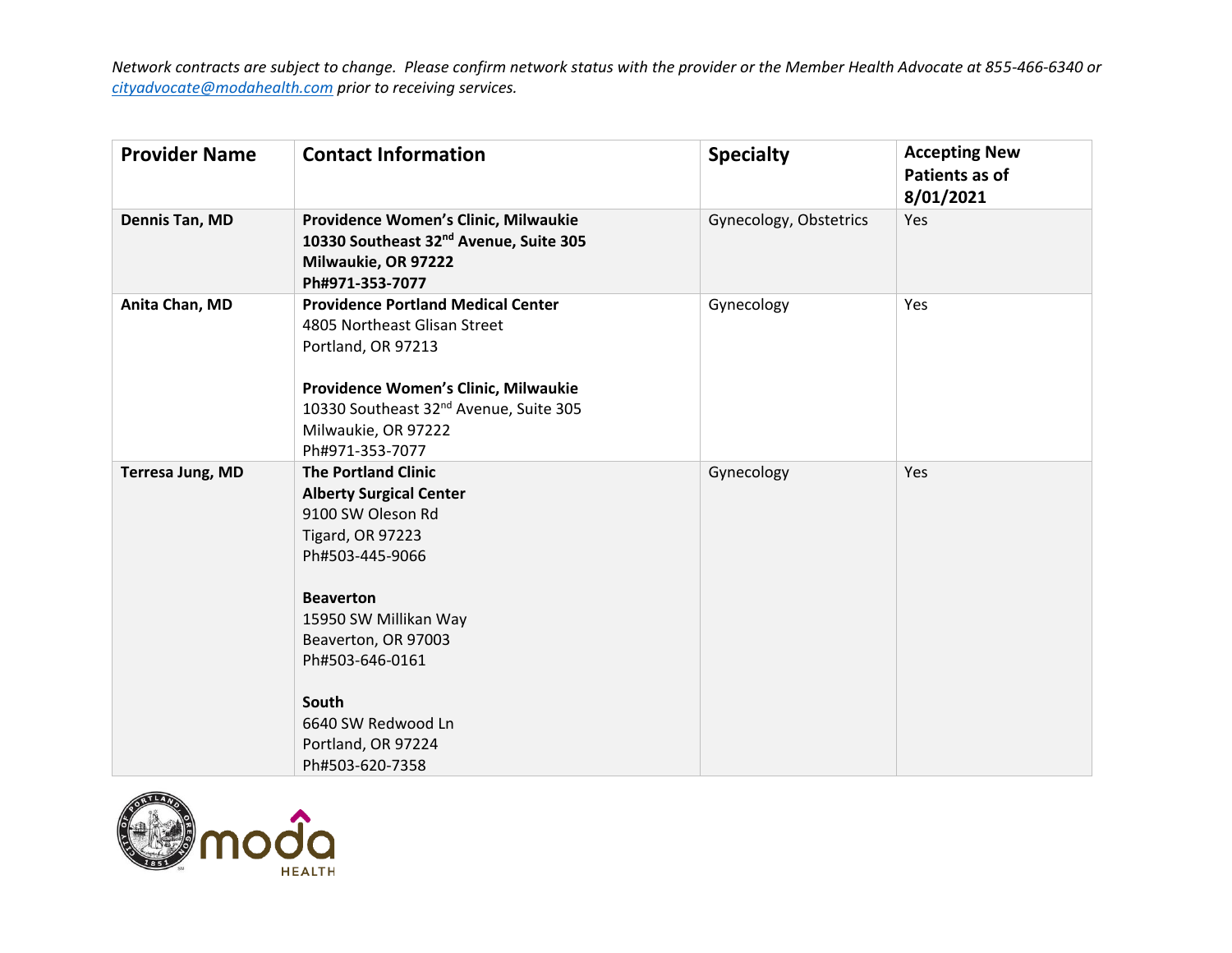| <b>Provider Name</b>    | <b>Contact Information</b>                                                                                                                                                                                                                                                                     | <b>Specialty</b>       | <b>Accepting New</b><br>Patients as of<br>8/01/2021 |
|-------------------------|------------------------------------------------------------------------------------------------------------------------------------------------------------------------------------------------------------------------------------------------------------------------------------------------|------------------------|-----------------------------------------------------|
| Dennis Tan, MD          | Providence Women's Clinic, Milwaukie<br>10330 Southeast 32 <sup>nd</sup> Avenue, Suite 305<br>Milwaukie, OR 97222<br>Ph#971-353-7077                                                                                                                                                           | Gynecology, Obstetrics | Yes                                                 |
| Anita Chan, MD          | <b>Providence Portland Medical Center</b><br>4805 Northeast Glisan Street<br>Portland, OR 97213<br>Providence Women's Clinic, Milwaukie<br>10330 Southeast 32 <sup>nd</sup> Avenue, Suite 305<br>Milwaukie, OR 97222<br>Ph#971-353-7077                                                        | Gynecology             | Yes                                                 |
| <b>Terresa Jung, MD</b> | <b>The Portland Clinic</b><br><b>Alberty Surgical Center</b><br>9100 SW Oleson Rd<br><b>Tigard, OR 97223</b><br>Ph#503-445-9066<br><b>Beaverton</b><br>15950 SW Millikan Way<br>Beaverton, OR 97003<br>Ph#503-646-0161<br>South<br>6640 SW Redwood Ln<br>Portland, OR 97224<br>Ph#503-620-7358 | Gynecology             | Yes                                                 |

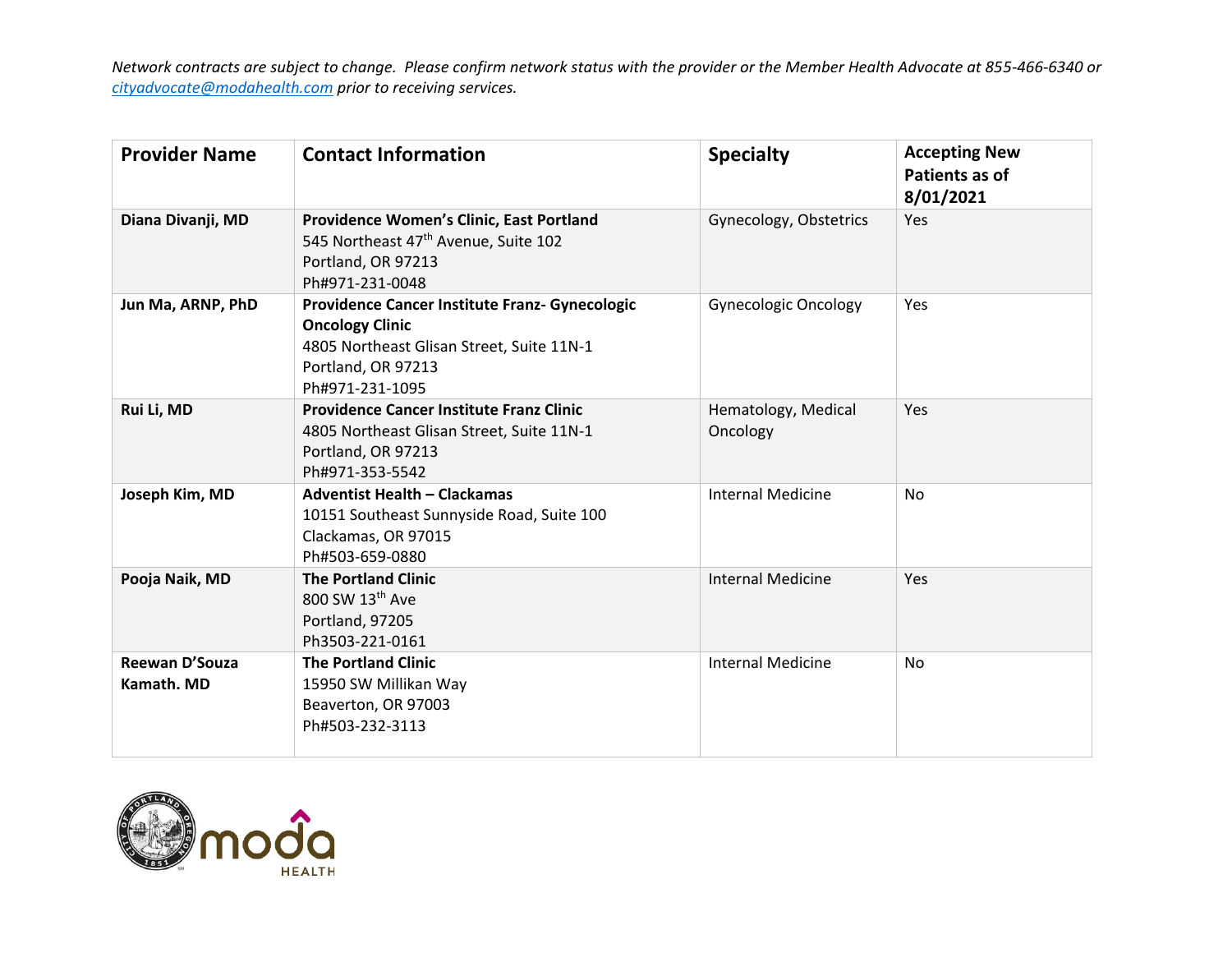| <b>Provider Name</b>         | <b>Contact Information</b>                                                                                                                                     | <b>Specialty</b>                | <b>Accepting New</b><br>Patients as of<br>8/01/2021 |
|------------------------------|----------------------------------------------------------------------------------------------------------------------------------------------------------------|---------------------------------|-----------------------------------------------------|
| Diana Divanji, MD            | Providence Women's Clinic, East Portland<br>545 Northeast 47 <sup>th</sup> Avenue, Suite 102<br>Portland, OR 97213<br>Ph#971-231-0048                          | Gynecology, Obstetrics          | Yes                                                 |
| Jun Ma, ARNP, PhD            | Providence Cancer Institute Franz- Gynecologic<br><b>Oncology Clinic</b><br>4805 Northeast Glisan Street, Suite 11N-1<br>Portland, OR 97213<br>Ph#971-231-1095 | <b>Gynecologic Oncology</b>     | <b>Yes</b>                                          |
| Rui Li, MD                   | <b>Providence Cancer Institute Franz Clinic</b><br>4805 Northeast Glisan Street, Suite 11N-1<br>Portland, OR 97213<br>Ph#971-353-5542                          | Hematology, Medical<br>Oncology | Yes                                                 |
| Joseph Kim, MD               | <b>Adventist Health - Clackamas</b><br>10151 Southeast Sunnyside Road, Suite 100<br>Clackamas, OR 97015<br>Ph#503-659-0880                                     | <b>Internal Medicine</b>        | No                                                  |
| Pooja Naik, MD               | <b>The Portland Clinic</b><br>800 SW 13th Ave<br>Portland, 97205<br>Ph3503-221-0161                                                                            | <b>Internal Medicine</b>        | Yes                                                 |
| Reewan D'Souza<br>Kamath. MD | <b>The Portland Clinic</b><br>15950 SW Millikan Way<br>Beaverton, OR 97003<br>Ph#503-232-3113                                                                  | <b>Internal Medicine</b>        | No                                                  |

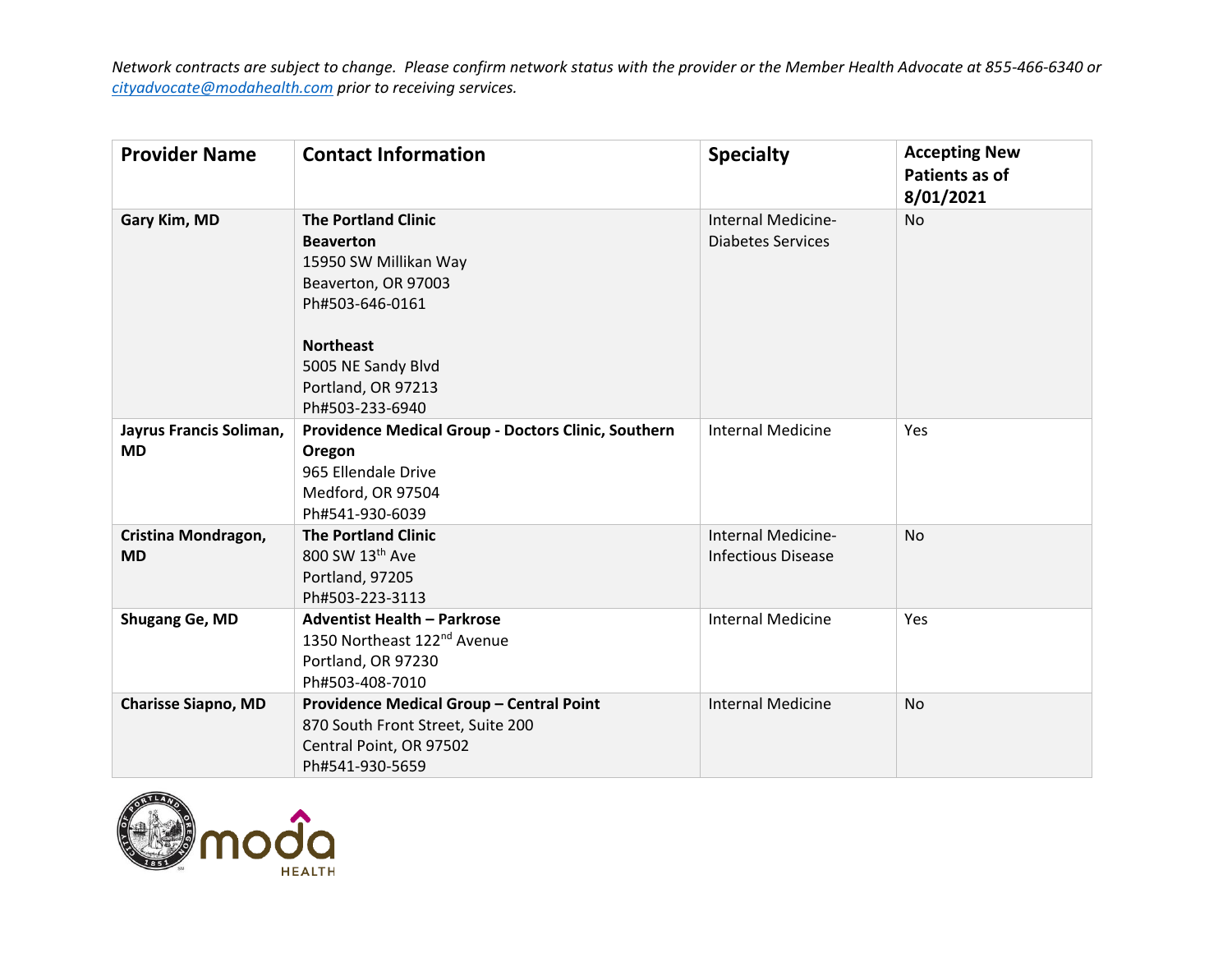| <b>Provider Name</b>                 | <b>Contact Information</b>                                                                                                   | <b>Specialty</b>                                | <b>Accepting New</b><br>Patients as of<br>8/01/2021 |
|--------------------------------------|------------------------------------------------------------------------------------------------------------------------------|-------------------------------------------------|-----------------------------------------------------|
| Gary Kim, MD                         | <b>The Portland Clinic</b><br><b>Beaverton</b><br>15950 SW Millikan Way<br>Beaverton, OR 97003<br>Ph#503-646-0161            | Internal Medicine-<br><b>Diabetes Services</b>  | <b>No</b>                                           |
|                                      | <b>Northeast</b><br>5005 NE Sandy Blvd<br>Portland, OR 97213<br>Ph#503-233-6940                                              |                                                 |                                                     |
| Jayrus Francis Soliman,<br><b>MD</b> | Providence Medical Group - Doctors Clinic, Southern<br>Oregon<br>965 Ellendale Drive<br>Medford, OR 97504<br>Ph#541-930-6039 | <b>Internal Medicine</b>                        | Yes                                                 |
| Cristina Mondragon,<br><b>MD</b>     | <b>The Portland Clinic</b><br>800 SW 13th Ave<br>Portland, 97205<br>Ph#503-223-3113                                          | Internal Medicine-<br><b>Infectious Disease</b> | <b>No</b>                                           |
| Shugang Ge, MD                       | <b>Adventist Health - Parkrose</b><br>1350 Northeast 122 <sup>nd</sup> Avenue<br>Portland, OR 97230<br>Ph#503-408-7010       | <b>Internal Medicine</b>                        | Yes                                                 |
| <b>Charisse Siapno, MD</b>           | Providence Medical Group - Central Point<br>870 South Front Street, Suite 200<br>Central Point, OR 97502<br>Ph#541-930-5659  | <b>Internal Medicine</b>                        | <b>No</b>                                           |

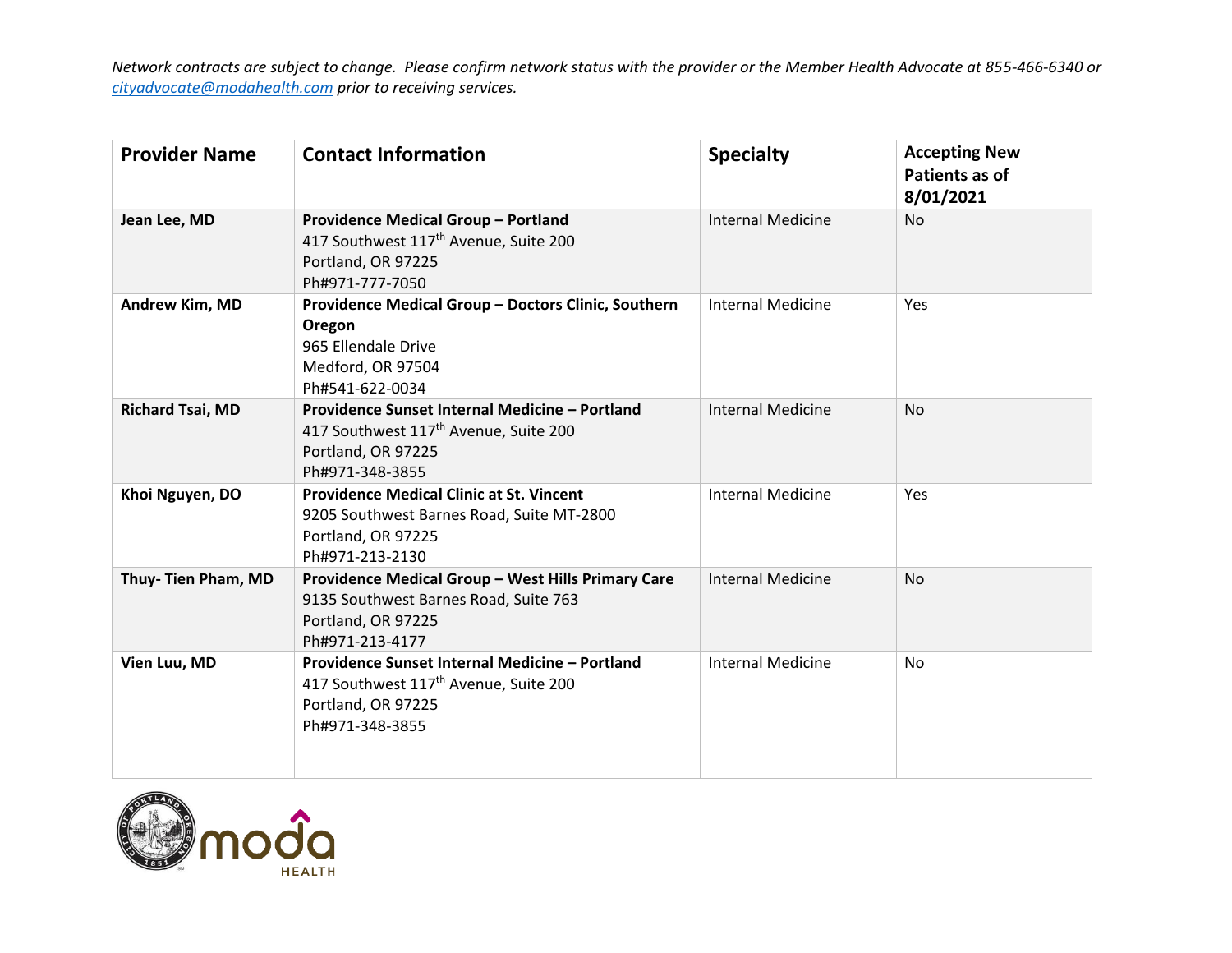| <b>Provider Name</b>    | <b>Contact Information</b>                                                                                                                   | <b>Specialty</b>         | <b>Accepting New</b><br>Patients as of<br>8/01/2021 |
|-------------------------|----------------------------------------------------------------------------------------------------------------------------------------------|--------------------------|-----------------------------------------------------|
| Jean Lee, MD            | <b>Providence Medical Group - Portland</b><br>417 Southwest 117 <sup>th</sup> Avenue, Suite 200<br>Portland, OR 97225<br>Ph#971-777-7050     | <b>Internal Medicine</b> | <b>No</b>                                           |
| Andrew Kim, MD          | Providence Medical Group - Doctors Clinic, Southern<br>Oregon<br>965 Ellendale Drive<br>Medford, OR 97504<br>Ph#541-622-0034                 | <b>Internal Medicine</b> | Yes                                                 |
| <b>Richard Tsai, MD</b> | Providence Sunset Internal Medicine - Portland<br>417 Southwest 117 <sup>th</sup> Avenue, Suite 200<br>Portland, OR 97225<br>Ph#971-348-3855 | <b>Internal Medicine</b> | <b>No</b>                                           |
| Khoi Nguyen, DO         | <b>Providence Medical Clinic at St. Vincent</b><br>9205 Southwest Barnes Road, Suite MT-2800<br>Portland, OR 97225<br>Ph#971-213-2130        | <b>Internal Medicine</b> | Yes                                                 |
| Thuy- Tien Pham, MD     | Providence Medical Group - West Hills Primary Care<br>9135 Southwest Barnes Road, Suite 763<br>Portland, OR 97225<br>Ph#971-213-4177         | <b>Internal Medicine</b> | <b>No</b>                                           |
| Vien Luu, MD            | Providence Sunset Internal Medicine - Portland<br>417 Southwest 117 <sup>th</sup> Avenue, Suite 200<br>Portland, OR 97225<br>Ph#971-348-3855 | <b>Internal Medicine</b> | <b>No</b>                                           |

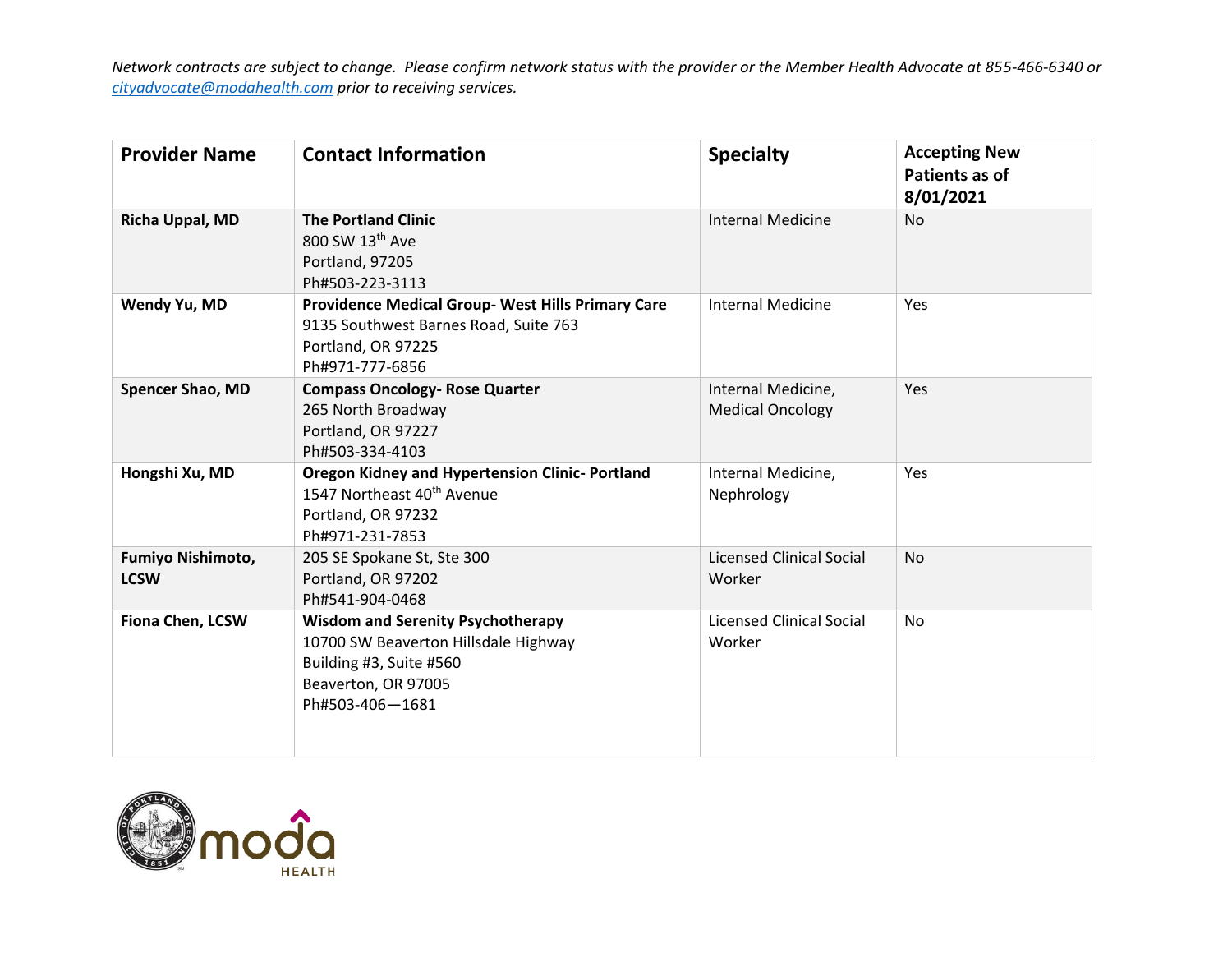| <b>Provider Name</b>             | <b>Contact Information</b>                                                                                                                            | <b>Specialty</b>                              | <b>Accepting New</b><br>Patients as of<br>8/01/2021 |
|----------------------------------|-------------------------------------------------------------------------------------------------------------------------------------------------------|-----------------------------------------------|-----------------------------------------------------|
| Richa Uppal, MD                  | <b>The Portland Clinic</b><br>800 SW 13th Ave<br>Portland, 97205<br>Ph#503-223-3113                                                                   | <b>Internal Medicine</b>                      | <b>No</b>                                           |
| Wendy Yu, MD                     | <b>Providence Medical Group- West Hills Primary Care</b><br>9135 Southwest Barnes Road, Suite 763<br>Portland, OR 97225<br>Ph#971-777-6856            | <b>Internal Medicine</b>                      | Yes                                                 |
| Spencer Shao, MD                 | <b>Compass Oncology- Rose Quarter</b><br>265 North Broadway<br>Portland, OR 97227<br>Ph#503-334-4103                                                  | Internal Medicine,<br><b>Medical Oncology</b> | <b>Yes</b>                                          |
| Hongshi Xu, MD                   | <b>Oregon Kidney and Hypertension Clinic-Portland</b><br>1547 Northeast 40 <sup>th</sup> Avenue<br>Portland, OR 97232<br>Ph#971-231-7853              | Internal Medicine,<br>Nephrology              | <b>Yes</b>                                          |
| Fumiyo Nishimoto,<br><b>LCSW</b> | 205 SE Spokane St, Ste 300<br>Portland, OR 97202<br>Ph#541-904-0468                                                                                   | <b>Licensed Clinical Social</b><br>Worker     | <b>No</b>                                           |
| <b>Fiona Chen, LCSW</b>          | <b>Wisdom and Serenity Psychotherapy</b><br>10700 SW Beaverton Hillsdale Highway<br>Building #3, Suite #560<br>Beaverton, OR 97005<br>Ph#503-406-1681 | <b>Licensed Clinical Social</b><br>Worker     | <b>No</b>                                           |

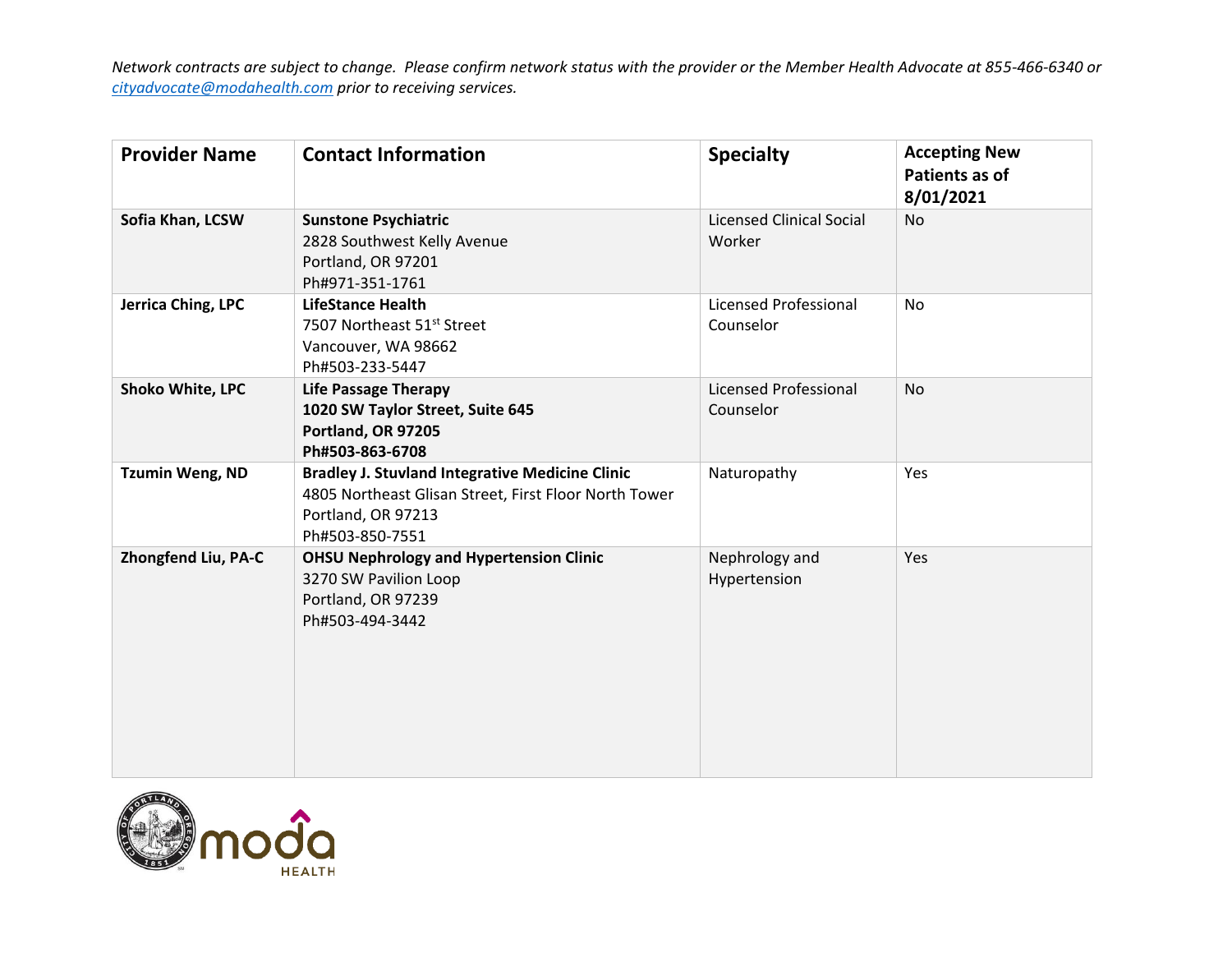| <b>Provider Name</b>    | <b>Contact Information</b>                                                                                                                               | <b>Specialty</b>                          | <b>Accepting New</b><br>Patients as of<br>8/01/2021 |
|-------------------------|----------------------------------------------------------------------------------------------------------------------------------------------------------|-------------------------------------------|-----------------------------------------------------|
| Sofia Khan, LCSW        | <b>Sunstone Psychiatric</b><br>2828 Southwest Kelly Avenue<br>Portland, OR 97201<br>Ph#971-351-1761                                                      | <b>Licensed Clinical Social</b><br>Worker | No                                                  |
| Jerrica Ching, LPC      | <b>LifeStance Health</b><br>7507 Northeast 51st Street<br>Vancouver, WA 98662<br>Ph#503-233-5447                                                         | Licensed Professional<br>Counselor        | No                                                  |
| <b>Shoko White, LPC</b> | <b>Life Passage Therapy</b><br>1020 SW Taylor Street, Suite 645<br>Portland, OR 97205<br>Ph#503-863-6708                                                 | Licensed Professional<br>Counselor        | <b>No</b>                                           |
| <b>Tzumin Weng, ND</b>  | <b>Bradley J. Stuvland Integrative Medicine Clinic</b><br>4805 Northeast Glisan Street, First Floor North Tower<br>Portland, OR 97213<br>Ph#503-850-7551 | Naturopathy                               | Yes                                                 |
| Zhongfend Liu, PA-C     | <b>OHSU Nephrology and Hypertension Clinic</b><br>3270 SW Pavilion Loop<br>Portland, OR 97239<br>Ph#503-494-3442                                         | Nephrology and<br>Hypertension            | Yes                                                 |

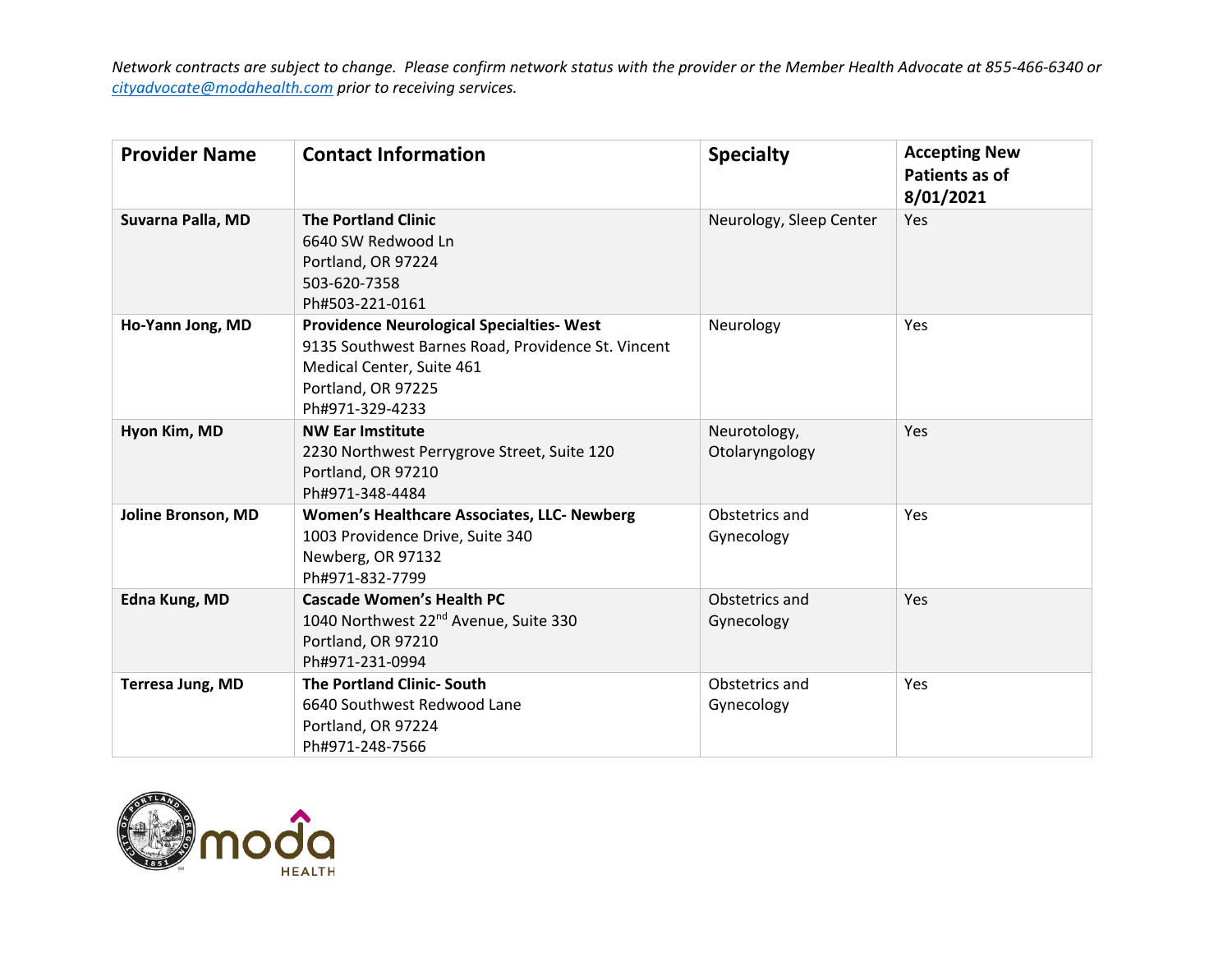| <b>Provider Name</b> | <b>Contact Information</b>                                                                                                                                                   | <b>Specialty</b>               | <b>Accepting New</b><br>Patients as of<br>8/01/2021 |
|----------------------|------------------------------------------------------------------------------------------------------------------------------------------------------------------------------|--------------------------------|-----------------------------------------------------|
| Suvarna Palla, MD    | <b>The Portland Clinic</b><br>6640 SW Redwood Ln<br>Portland, OR 97224<br>503-620-7358<br>Ph#503-221-0161                                                                    | Neurology, Sleep Center        | Yes                                                 |
| Ho-Yann Jong, MD     | <b>Providence Neurological Specialties- West</b><br>9135 Southwest Barnes Road, Providence St. Vincent<br>Medical Center, Suite 461<br>Portland, OR 97225<br>Ph#971-329-4233 | Neurology                      | Yes                                                 |
| Hyon Kim, MD         | <b>NW Ear Imstitute</b><br>2230 Northwest Perrygrove Street, Suite 120<br>Portland, OR 97210<br>Ph#971-348-4484                                                              | Neurotology,<br>Otolaryngology | Yes                                                 |
| Joline Bronson, MD   | Women's Healthcare Associates, LLC- Newberg<br>1003 Providence Drive, Suite 340<br>Newberg, OR 97132<br>Ph#971-832-7799                                                      | Obstetrics and<br>Gynecology   | Yes                                                 |
| Edna Kung, MD        | <b>Cascade Women's Health PC</b><br>1040 Northwest 22 <sup>nd</sup> Avenue, Suite 330<br>Portland, OR 97210<br>Ph#971-231-0994                                               | Obstetrics and<br>Gynecology   | Yes                                                 |
| Terresa Jung, MD     | <b>The Portland Clinic-South</b><br>6640 Southwest Redwood Lane<br>Portland, OR 97224<br>Ph#971-248-7566                                                                     | Obstetrics and<br>Gynecology   | <b>Yes</b>                                          |

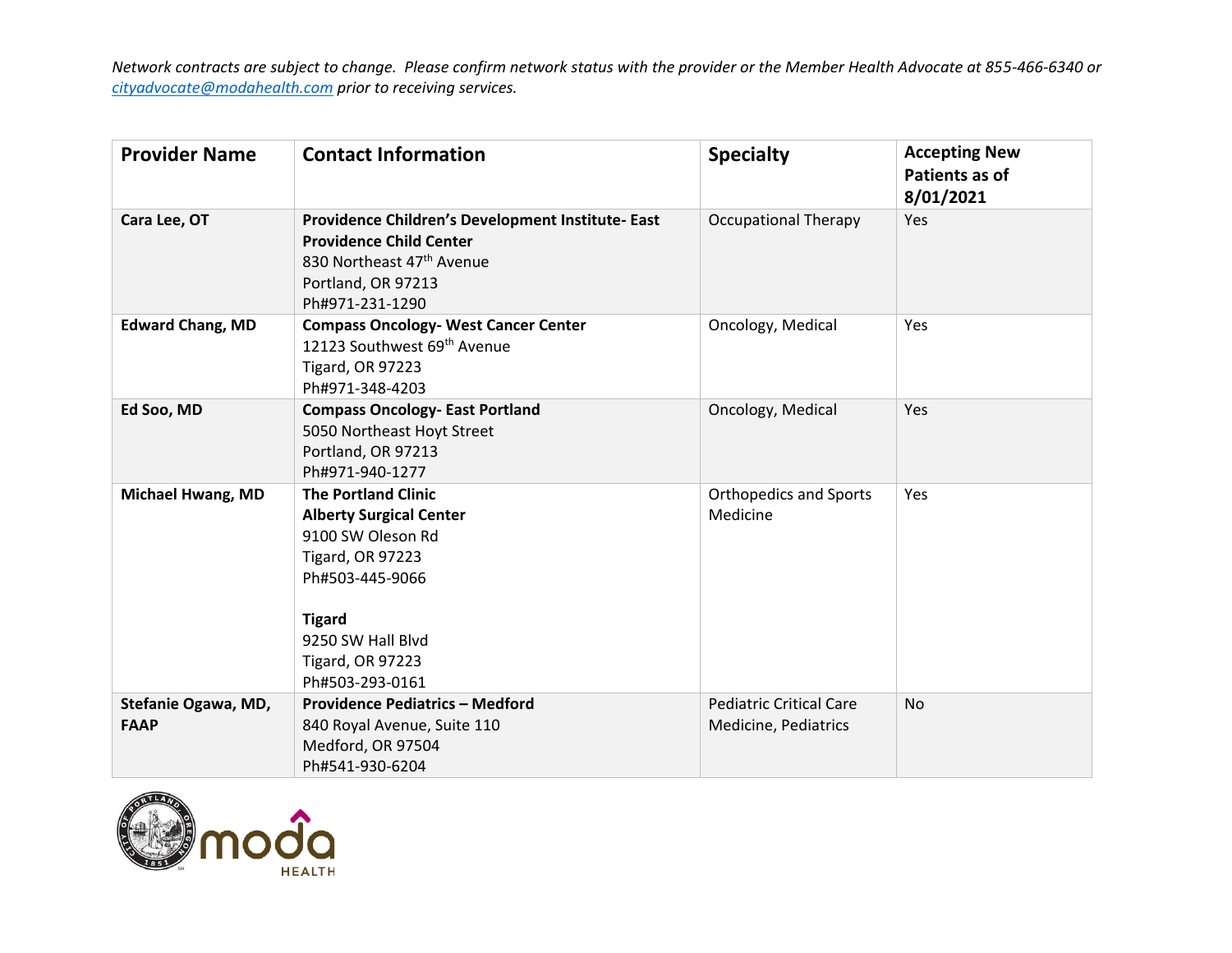| <b>Provider Name</b>               | <b>Contact Information</b>                                                                                                                                                                                          | <b>Specialty</b>                                       | <b>Accepting New</b><br>Patients as of<br>8/01/2021 |
|------------------------------------|---------------------------------------------------------------------------------------------------------------------------------------------------------------------------------------------------------------------|--------------------------------------------------------|-----------------------------------------------------|
| Cara Lee, OT                       | Providence Children's Development Institute- East<br><b>Providence Child Center</b><br>830 Northeast 47 <sup>th</sup> Avenue<br>Portland, OR 97213<br>Ph#971-231-1290                                               | <b>Occupational Therapy</b>                            | Yes                                                 |
| <b>Edward Chang, MD</b>            | <b>Compass Oncology- West Cancer Center</b><br>12123 Southwest 69th Avenue<br><b>Tigard, OR 97223</b><br>Ph#971-348-4203                                                                                            | Oncology, Medical                                      | Yes                                                 |
| Ed Soo, MD                         | <b>Compass Oncology- East Portland</b><br>5050 Northeast Hoyt Street<br>Portland, OR 97213<br>Ph#971-940-1277                                                                                                       | Oncology, Medical                                      | Yes                                                 |
| <b>Michael Hwang, MD</b>           | <b>The Portland Clinic</b><br><b>Alberty Surgical Center</b><br>9100 SW Oleson Rd<br><b>Tigard, OR 97223</b><br>Ph#503-445-9066<br><b>Tigard</b><br>9250 SW Hall Blvd<br><b>Tigard, OR 97223</b><br>Ph#503-293-0161 | <b>Orthopedics and Sports</b><br>Medicine              | Yes                                                 |
| Stefanie Ogawa, MD,<br><b>FAAP</b> | <b>Providence Pediatrics - Medford</b><br>840 Royal Avenue, Suite 110<br>Medford, OR 97504<br>Ph#541-930-6204                                                                                                       | <b>Pediatric Critical Care</b><br>Medicine, Pediatrics | <b>No</b>                                           |